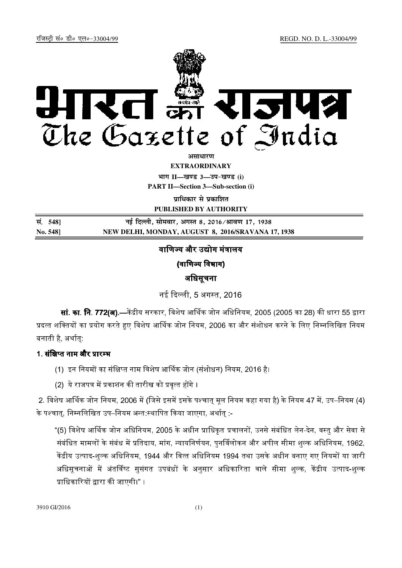

असाधा**र**ण **EXTRAORDINARY Hkkx II—[k.M 3—mi&[k.M (i)**

**PART II—Section 3—Sub-section (i)** 

**पाधिकार से पका**शित

**PUBLISHED BY AUTHORITY**

| सं. 5481 | नई दिल्ली, सोमवार, अगस्त 8, 2016∕श्रावण 17, 1938   |
|----------|----------------------------------------------------|
| No. 548] | NEW DELHI, MONDAY, AUGUST 8, 2016/SRAVANA 17, 1938 |

# वाणिज्य और उद्योग मंत्रालय

(वाणिज्य विभाग)

## अधिसूचना

नई दिल्ली, 5 अगस्त, 2016

**सां. का. नि. 772(अ).**—केंद्रीय सरकार. विशेष आर्थिक जोन अधिनियम. 2005 (2005 का 28) की धारा 55 द्वारा प्रदत्त शक्तियों का प्रयोग करते हुए विशेष आर्थिक जोन नियम, 2006 का और संशोधन करने के लिए निम्नलिखित नियम बनाती है, अर्थात:

## 1. संक्षिप्त नाम और प्रारम्भ

- (1) इन नियमों का संक्षिप्त नाम विशेष आर्थिक जोन (संशोधन) नियम, 2016 है।
- (2) ये राजपत्र में प्रकाशन की तारीख को प्रवृत्त होंगे ।

2. विशेष आर्थिक जोन नियम, 2006 में (जिसे इसमें इसके पश्चात मल नियम कहा गया है) के नियम 47 में, उप–नियम (4) के पश्चात, निम्नलिखित उप–नियम अन्त स्थापित किया जाएगा, अर्थात :-

"(5) विशेष आर्थिक जोन अधिनियम, 2005 के अधीन प्राधिकृत प्रचालनों, उनसे संबंधित लेन-देन, वस्तु और सेवा से संबंधित मामलों के संबंध में प्रतिदाय, मांग, न्यायनिर्णयन, पनर्विलोकन और अपील सीमा शल्क अधिनियम, 1962, केंद्रीय उत्पाद-शल्क अधिनियम, 1944 और वित्त अधिनियम 1994 तथा उसके अधीन बनाए गए नियमों या जारी अधिसचनाओं में अंतर्विष्ट ससंगत उपबंधों के अनसार अधिकारिता वाले सीमा शल्क, केंद्रीय उत्पाद-शल्क प्राधिकारियों द्वारा की जाएगी।" ।